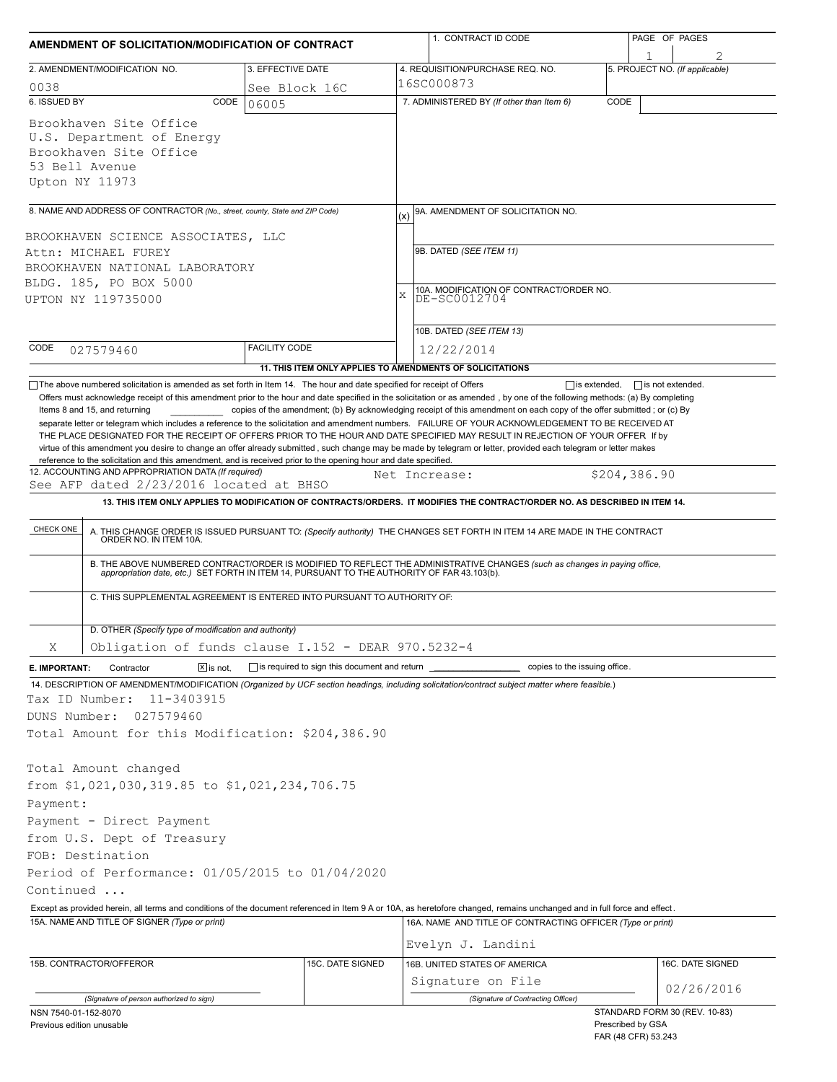| AMENDMENT OF SOLICITATION/MODIFICATION OF CONTRACT                                                                                                                                                                |             |                      |     | 1. CONTRACT ID CODE                                                                                                                                                                                                                     |                     | PAGE OF PAGES                  |  |  |  |
|-------------------------------------------------------------------------------------------------------------------------------------------------------------------------------------------------------------------|-------------|----------------------|-----|-----------------------------------------------------------------------------------------------------------------------------------------------------------------------------------------------------------------------------------------|---------------------|--------------------------------|--|--|--|
| 2. AMENDMENT/MODIFICATION NO.                                                                                                                                                                                     |             | 3. EFFECTIVE DATE    |     | 4. REQUISITION/PURCHASE REQ. NO.                                                                                                                                                                                                        |                     | 5. PROJECT NO. (If applicable) |  |  |  |
| 0038                                                                                                                                                                                                              |             | See Block 16C        |     | 16SC000873                                                                                                                                                                                                                              |                     |                                |  |  |  |
| 6. ISSUED BY                                                                                                                                                                                                      | CODE        | 06005                |     | 7. ADMINISTERED BY (If other than Item 6)                                                                                                                                                                                               | CODE                |                                |  |  |  |
| Brookhaven Site Office<br>U.S. Department of Energy<br>Brookhaven Site Office<br>53 Bell Avenue<br>Upton NY 11973                                                                                                 |             |                      |     |                                                                                                                                                                                                                                         |                     |                                |  |  |  |
|                                                                                                                                                                                                                   |             |                      |     |                                                                                                                                                                                                                                         |                     |                                |  |  |  |
| 8. NAME AND ADDRESS OF CONTRACTOR (No., street, county, State and ZIP Code)                                                                                                                                       |             |                      | (x) | 9A. AMENDMENT OF SOLICITATION NO.                                                                                                                                                                                                       |                     |                                |  |  |  |
| BROOKHAVEN SCIENCE ASSOCIATES, LLC                                                                                                                                                                                |             |                      |     |                                                                                                                                                                                                                                         |                     |                                |  |  |  |
| Attn: MICHAEL FUREY                                                                                                                                                                                               |             |                      |     | 9B. DATED (SEE ITEM 11)                                                                                                                                                                                                                 |                     |                                |  |  |  |
| BROOKHAVEN NATIONAL LABORATORY                                                                                                                                                                                    |             |                      |     |                                                                                                                                                                                                                                         |                     |                                |  |  |  |
| BLDG. 185, PO BOX 5000                                                                                                                                                                                            |             |                      | X   | 10A. MODIFICATION OF CONTRACT/ORDER NO.<br>DE-SC0012704                                                                                                                                                                                 |                     |                                |  |  |  |
| UPTON NY 119735000                                                                                                                                                                                                |             |                      |     |                                                                                                                                                                                                                                         |                     |                                |  |  |  |
|                                                                                                                                                                                                                   |             |                      |     | 10B. DATED (SEE ITEM 13)                                                                                                                                                                                                                |                     |                                |  |  |  |
| CODE                                                                                                                                                                                                              |             | <b>FACILITY CODE</b> |     |                                                                                                                                                                                                                                         |                     |                                |  |  |  |
| 027579460                                                                                                                                                                                                         |             |                      |     | 12/22/2014                                                                                                                                                                                                                              |                     |                                |  |  |  |
| The above numbered solicitation is amended as set forth in Item 14. The hour and date specified for receipt of Offers                                                                                             |             |                      |     | 11. THIS ITEM ONLY APPLIES TO AMENDMENTS OF SOLICITATIONS                                                                                                                                                                               | $\Box$ is extended, | $\Box$ is not extended.        |  |  |  |
| reference to the solicitation and this amendment, and is received prior to the opening hour and date specified.<br>12. ACCOUNTING AND APPROPRIATION DATA (If required)<br>See AFP dated 2/23/2016 located at BHSO |             |                      |     | Net Increase:<br>13. THIS ITEM ONLY APPLIES TO MODIFICATION OF CONTRACTS/ORDERS. IT MODIFIES THE CONTRACT/ORDER NO. AS DESCRIBED IN ITEM 14.                                                                                            | \$204,386.90        |                                |  |  |  |
|                                                                                                                                                                                                                   |             |                      |     |                                                                                                                                                                                                                                         |                     |                                |  |  |  |
| CHECK ONE                                                                                                                                                                                                         |             |                      |     | A. THIS CHANGE ORDER IS ISSUED PURSUANT TO: (Specify authority) THE CHANGES SET FORTH IN ITEM 14 ARE MADE IN THE CONTRACT ORDER NO. IN ITEM 10A.                                                                                        |                     |                                |  |  |  |
|                                                                                                                                                                                                                   |             |                      |     | B. THE ABOVE NUMBERED CONTRACT/ORDER IS MODIFIED TO REFLECT THE ADMINISTRATIVE CHANGES (such as changes in paying office, appropriation date, etc.) SET FORTH IN ITEM 14, PURSUANT TO THE AUTHORITY OF FAR 43.103(b).                   |                     |                                |  |  |  |
| C. THIS SUPPLEMENTAL AGREEMENT IS ENTERED INTO PURSUANT TO AUTHORITY OF:                                                                                                                                          |             |                      |     |                                                                                                                                                                                                                                         |                     |                                |  |  |  |
| D. OTHER (Specify type of modification and authority)                                                                                                                                                             |             |                      |     |                                                                                                                                                                                                                                         |                     |                                |  |  |  |
| Obligation of funds clause I.152 - DEAR 970.5232-4<br>Χ                                                                                                                                                           |             |                      |     |                                                                                                                                                                                                                                         |                     |                                |  |  |  |
| Contractor<br>E. IMPORTANT:                                                                                                                                                                                       | $X$ is not. |                      |     |                                                                                                                                                                                                                                         |                     |                                |  |  |  |
|                                                                                                                                                                                                                   |             |                      |     | 14. DESCRIPTION OF AMENDMENT/MODIFICATION (Organized by UCF section headings, including solicitation/contract subject matter where feasible.)                                                                                           |                     |                                |  |  |  |
| 11-3403915<br>Tax ID Number:                                                                                                                                                                                      |             |                      |     |                                                                                                                                                                                                                                         |                     |                                |  |  |  |
| DUNS Number:<br>027579460                                                                                                                                                                                         |             |                      |     |                                                                                                                                                                                                                                         |                     |                                |  |  |  |
| Total Amount for this Modification: \$204,386.90                                                                                                                                                                  |             |                      |     |                                                                                                                                                                                                                                         |                     |                                |  |  |  |
| Total Amount changed                                                                                                                                                                                              |             |                      |     |                                                                                                                                                                                                                                         |                     |                                |  |  |  |
| from \$1,021,030,319.85 to \$1,021,234,706.75                                                                                                                                                                     |             |                      |     |                                                                                                                                                                                                                                         |                     |                                |  |  |  |
| Payment:                                                                                                                                                                                                          |             |                      |     |                                                                                                                                                                                                                                         |                     |                                |  |  |  |
| Payment - Direct Payment                                                                                                                                                                                          |             |                      |     |                                                                                                                                                                                                                                         |                     |                                |  |  |  |
|                                                                                                                                                                                                                   |             |                      |     |                                                                                                                                                                                                                                         |                     |                                |  |  |  |
| from U.S. Dept of Treasury<br>FOB: Destination                                                                                                                                                                    |             |                      |     |                                                                                                                                                                                                                                         |                     |                                |  |  |  |
| Period of Performance: 01/05/2015 to 01/04/2020                                                                                                                                                                   |             |                      |     |                                                                                                                                                                                                                                         |                     |                                |  |  |  |
| Continued                                                                                                                                                                                                         |             |                      |     |                                                                                                                                                                                                                                         |                     |                                |  |  |  |
|                                                                                                                                                                                                                   |             |                      |     |                                                                                                                                                                                                                                         |                     |                                |  |  |  |
| 15A. NAME AND TITLE OF SIGNER (Type or print)                                                                                                                                                                     |             |                      |     | Except as provided herein, all terms and conditions of the document referenced in Item 9 A or 10A, as heretofore changed, remains unchanged and in full force and effect.<br>16A. NAME AND TITLE OF CONTRACTING OFFICER (Type or print) |                     |                                |  |  |  |
|                                                                                                                                                                                                                   |             |                      |     |                                                                                                                                                                                                                                         |                     |                                |  |  |  |
|                                                                                                                                                                                                                   |             |                      |     | Evelyn J. Landini                                                                                                                                                                                                                       |                     |                                |  |  |  |
| 15B. CONTRACTOR/OFFEROR                                                                                                                                                                                           |             | 15C. DATE SIGNED     |     | 16B. UNITED STATES OF AMERICA                                                                                                                                                                                                           |                     | 16C. DATE SIGNED               |  |  |  |
|                                                                                                                                                                                                                   |             |                      |     | Signature on File                                                                                                                                                                                                                       |                     | 02/26/2016                     |  |  |  |
| (Signature of person authorized to sign)                                                                                                                                                                          |             |                      |     | (Signature of Contracting Officer)                                                                                                                                                                                                      |                     |                                |  |  |  |
| NSN 7540-01-152-8070<br>Previous edition unusable                                                                                                                                                                 |             |                      |     |                                                                                                                                                                                                                                         | Prescribed by GSA   | STANDARD FORM 30 (REV. 10-83)  |  |  |  |
|                                                                                                                                                                                                                   |             |                      |     |                                                                                                                                                                                                                                         | FAR (48 CFR) 53.243 |                                |  |  |  |